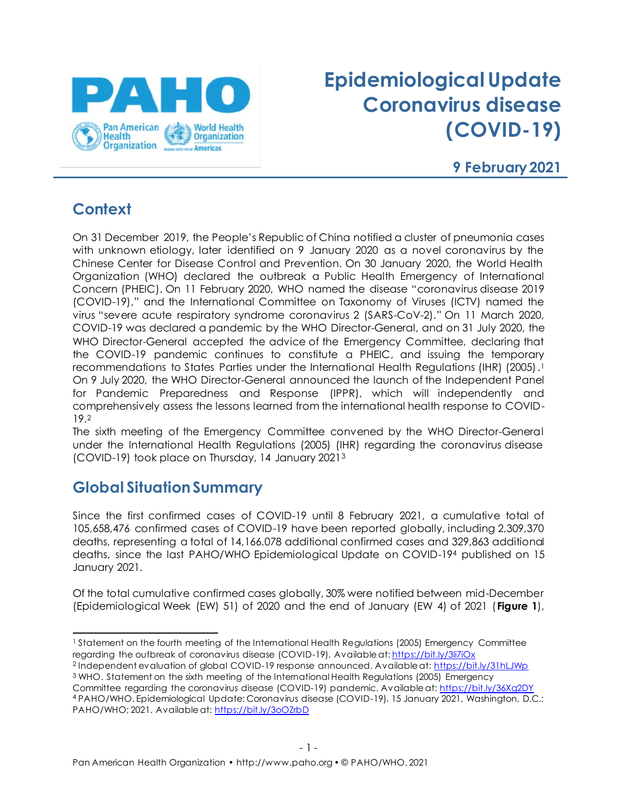

# **Epidemiological Update Coronavirus disease (COVID-19)**

#### **9 February 2021**

# **Context**

On 31 December 2019, the People's Republic of China notified a cluster of pneumonia cases with unknown etiology, later identified on 9 January 2020 as a novel coronavirus by the Chinese Center for Disease Control and Prevention. On 30 January 2020, the World Health Organization (WHO) declared the outbreak a Public Health Emergency of International Concern (PHEIC). On 11 February 2020, WHO named the disease "coronavirus disease 2019 (COVID-19)," and the International Committee on Taxonomy of Viruses (ICTV) named the virus "severe acute respiratory syndrome coronavirus 2 (SARS-CoV-2)." On 11 March 2020, COVID-19 was declared a pandemic by the WHO Director-General, and on 31 July 2020, the WHO Director-General accepted the advice of the Emergency Committee, declaring that the COVID-19 pandemic continues to constitute a PHEIC, and issuing the temporary recommendations to States Parties under the International Health Regulations (IHR) (2005). 1 On 9 July 2020, the WHO Director-General announced the launch of the Independent Panel for Pandemic Preparedness and Response (IPPR), which will independently and comprehensively assess the lessons learned from the international health response to COVID-19. 2

The sixth meeting of the Emergency Committee convened by the WHO Director-General under the International Health Regulations (2005) (IHR) regarding the coronavirus disease (COVID-19) took place on Thursday, 14 January 2021<sup>3</sup>

# **Global Situation Summary**

Since the first confirmed cases of COVID-19 until 8 February 2021, a cumulative total of 105,658,476 confirmed cases of COVID-19 have been reported globally, including 2,309,370 deaths, representing a total of 14,166,078 additional confirmed cases and 329,863 additional deaths, since the last PAHO/WHO Epidemiological Update on COVID-19<sup>4</sup> published on 15 January 2021.

Of the total cumulative confirmed cases globally, 30% were notified between mid-December (Epidemiological Week (EW) 51) of 2020 and the end of January (EW 4) of 2021 (**Figure 1**),

- <sup>2</sup> Independent evaluation of global COVID-19 response announced. Available at[: https://bit.ly/31hLJWp](https://bit.ly/31hLJWp)
- <sup>3</sup> WHO. Statement on the sixth meeting of the International Health Regulations (2005) Emergency Committee regarding the coronavirus disease (COVID-19) pandemic. Available at: <https://bit.ly/36Xg2DY>

<sup>4</sup> PAHO/WHO. Epidemiological Update: Coronavirus disease (COVID-19). 15 January 2021, Washington, D.C.: PAHO/WHO; 2021. Available at[: https://bit.ly/3oOZrbD](https://bit.ly/3oOZrbD)

<sup>1</sup> Statement on the fourth meeting of the International Health Regulations (2005) Emergency Committee regarding the outbreak of coronavirus disease (COVID-19). Available at[: https://bit.ly/3li7iOx](https://bit.ly/3li7iOx)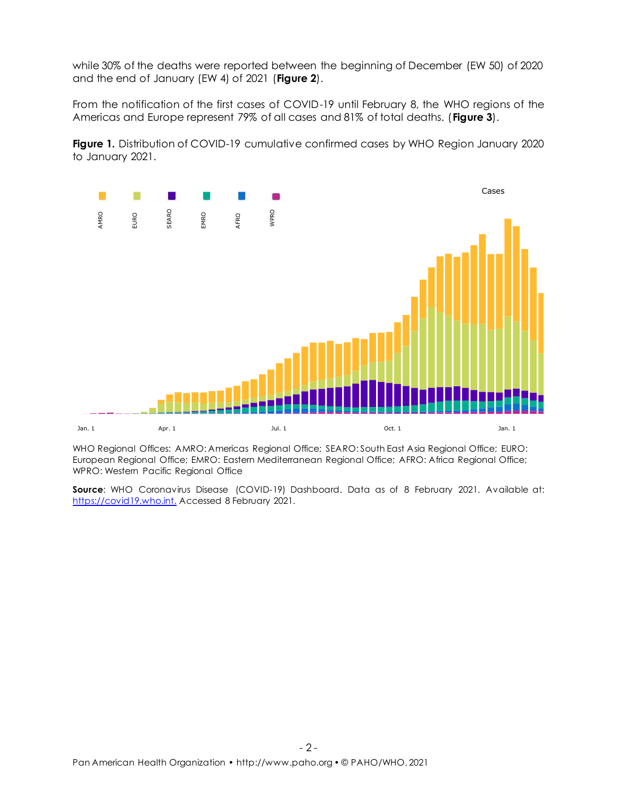while 30% of the deaths were reported between the beginning of December (EW 50) of 2020 and the end of January (EW 4) of 2021 (**Figure 2**).

From the notification of the first cases of COVID-19 until February 8, the WHO regions of the Americas and Europe represent 79% of all cases and 81% of total deaths. (**Figure 3**).

**Figure 1.** Distribution of COVID-19 cumulative confirmed cases by WHO Region January 2020 to January 2021.



WHO Regional Offices: AMRO: Americas Regional Office; SEARO: South East Asia Regional Office; EURO: European Regional Office; EMRO: Eastern Mediterranean Regional Office; AFRO: Africa Regional Office; WPRO: Western Pacific Regional Office

**Source:** WHO Coronavirus Disease (COVID-19) Dashboard. Data as of 8 February 2021. Available at: [https://covid19.who.int.](https://covid19.who.int/) Accessed 8 February 2021.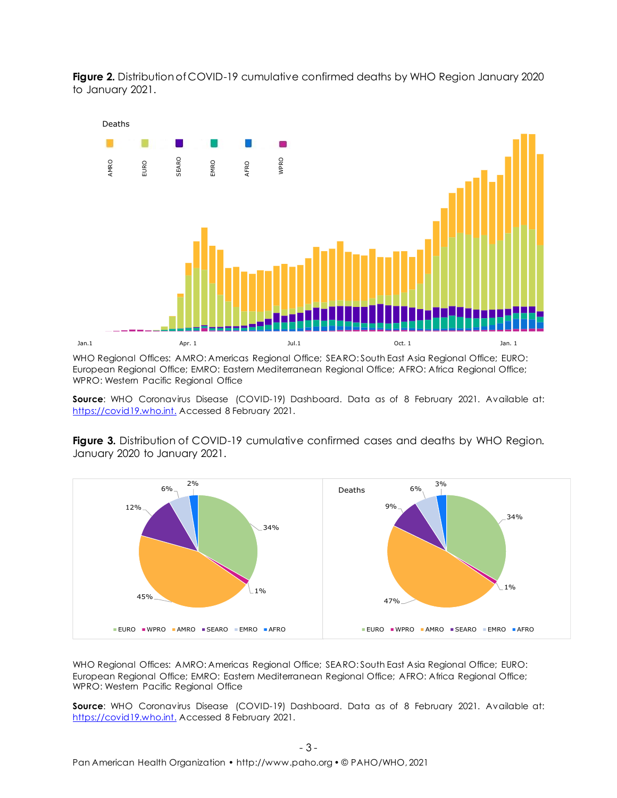Figure 2. Distribution of COVID-19 cumulative confirmed deaths by WHO Region January 2020 to January 2021.



WHO Regional Offices: AMRO: Americas Regional Office; SEARO: South East Asia Regional Office; EURO: European Regional Office; EMRO: Eastern Mediterranean Regional Office; AFRO: Africa Regional Office; WPRO: Western Pacific Regional Office

**Source**: WHO Coronavirus Disease (COVID-19) Dashboard. Data as of 8 February 2021. Available at: [https://covid19.who.int.](https://covid19.who.int/) Accessed 8 February 2021.

**Figure 3.** Distribution of COVID-19 cumulative confirmed cases and deaths by WHO Region. January 2020 to January 2021.



WHO Regional Offices: AMRO: Americas Regional Office; SEARO: South East Asia Regional Office; EURO: European Regional Office; EMRO: Eastern Mediterranean Regional Office; AFRO: Africa Regional Office; WPRO: Western Pacific Regional Office

**Source**: WHO Coronavirus Disease (COVID-19) Dashboard. Data as of 8 February 2021. Available at: [https://covid19.who.int.](https://covid19.who.int/) Accessed 8 February 2021.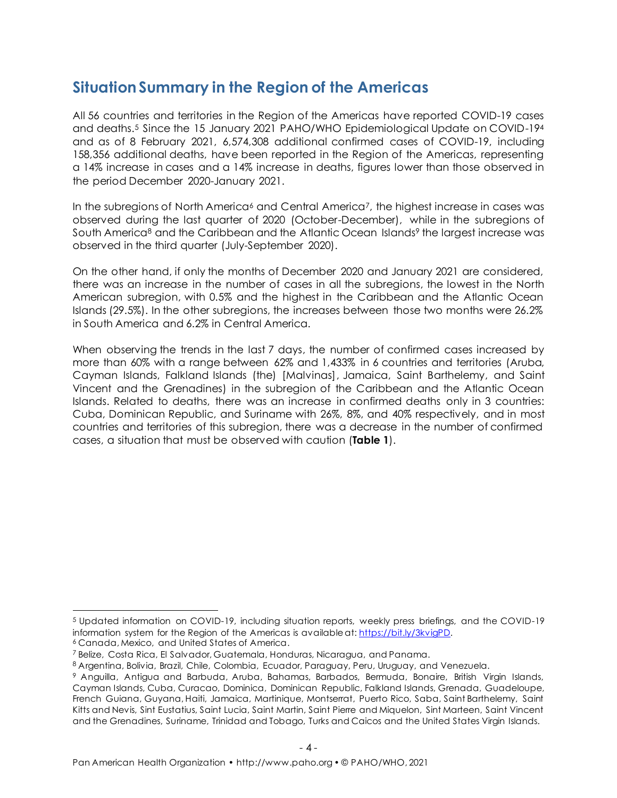### **Situation Summary in the Region of the Americas**

All 56 countries and territories in the Region of the Americas have reported COVID-19 cases and deaths. <sup>5</sup> Since the 15 January 2021 PAHO/WHO Epidemiological Update on COVID-19<sup>4</sup> and as of 8 February 2021, 6,574,308 additional confirmed cases of COVID-19, including 158,356 additional deaths, have been reported in the Region of the Americas, representing a 14% increase in cases and a 14% increase in deaths, figures lower than those observed in the period December 2020-January 2021.

In the subregions of North America<sup>6</sup> and Central America<sup>7</sup>, the highest increase in cases was observed during the last quarter of 2020 (October-December), while in the subregions of South America<sup>8</sup> and the Caribbean and the Atlantic Ocean Islands<sup>9</sup> the largest increase was observed in the third quarter (July-September 2020).

On the other hand, if only the months of December 2020 and January 2021 are considered, there was an increase in the number of cases in all the subregions, the lowest in the North American subregion, with 0.5% and the highest in the Caribbean and the Atlantic Ocean Islands (29.5%). In the other subregions, the increases between those two months were 26.2% in South America and 6.2% in Central America.

When observing the trends in the last 7 days, the number of confirmed cases increased by more than 60% with a range between 62% and 1,433% in 6 countries and territories (Aruba, Cayman Islands, Falkland Islands (the) [Malvinas], Jamaica, Saint Barthelemy, and Saint Vincent and the Grenadines) in the subregion of the Caribbean and the Atlantic Ocean Islands. Related to deaths, there was an increase in confirmed deaths only in 3 countries: Cuba, Dominican Republic, and Suriname with 26%, 8%, and 40% respectively, and in most countries and territories of this subregion, there was a decrease in the number of confirmed cases, a situation that must be observed with caution (**Table 1**).

<sup>5</sup> Updated information on COVID-19, including situation reports, weekly press briefings, and the COVID-19 information system for the Region of the Americas is available at[: https://bit.ly/3kvigPD.](https://bit.ly/3kvigPD)

<sup>6</sup> Canada, Mexico, and United States of America.

<sup>7</sup> Belize, Costa Rica, El Salvador, Guatemala, Honduras, Nicaragua, and Panama.

<sup>8</sup> Argentina, Bolivia, Brazil, Chile, Colombia, Ecuador, Paraguay, Peru, Uruguay, and Venezuela.

<sup>9</sup> Anguilla, Antigua and Barbuda, Aruba, Bahamas, Barbados, Bermuda, Bonaire, British Virgin Islands, Cayman Islands, Cuba, Curacao, Dominica, Dominican Republic, Falkland Islands, Grenada, Guadeloupe, French Guiana, Guyana, Haiti, Jamaica, Martinique, Montserrat, Puerto Rico, Saba, Saint Barthelemy, Saint Kitts and Nevis, Sint Eustatius, Saint Lucia, Saint Martin, Saint Pierre and Miquelon, Sint Marteen, Saint Vincent and the Grenadines, Suriname, Trinidad and Tobago, Turks and Caicos and the United States Virgin Islands.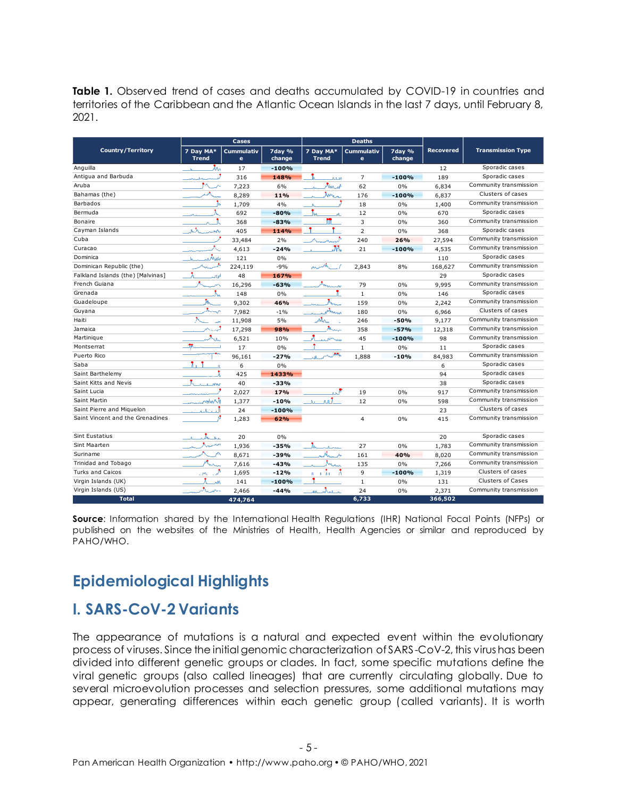**Table 1.** Observed trend of cases and deaths accumulated by COVID-19 in countries and territories of the Caribbean and the Atlantic Ocean Islands in the last 7 days, until February 8, 2021.

|                                   |                                      | Cases                  |                  |                           | <b>Deaths</b>          |                  |                  |                          |
|-----------------------------------|--------------------------------------|------------------------|------------------|---------------------------|------------------------|------------------|------------------|--------------------------|
| <b>Country/Territory</b>          | 7 Dav MA*<br><b>Trend</b>            | <b>Cummulativ</b><br>e | 7day %<br>change | 7 Day MA*<br><b>Trend</b> | <b>Cummulativ</b><br>e | 7day %<br>change | <b>Recovered</b> | <b>Transmission Type</b> |
| Anguilla                          | Лĸ.<br>$\mathbf{A}$                  | 17                     | $-100%$          |                           |                        |                  | 12               | Sporadic cases           |
| Antiqua and Barbuda               |                                      | 316                    | 148%             | ست                        | $\overline{7}$         | $-100%$          | 189              | Sporadic cases           |
| Aruba                             | $\wedge$                             | 7,223                  | 6%               | المديهاهم                 | 62                     | 0%               | 6,834            | Community transmission   |
| Bahamas (the)                     |                                      | 8,289                  | 11%              | maria                     | 176                    | $-100%$          | 6,837            | Clusters of cases        |
| Barbados                          |                                      | 1,709                  | 4%               |                           | 18                     | 0%               | 1,400            | Community transmission   |
| Bermuda                           |                                      | 692                    | $-80%$           |                           | 12                     | 0%               | 670              | Sporadic cases           |
| Bonaire                           | A. A                                 | 368                    | $-83%$           | m                         | 3                      | 0%               | 360              | Community transmission   |
| Cayman Islands                    | Жħ.<br>with                          | 405                    | 114%             |                           | $\overline{2}$         | 0%               | 368              | Sporadic cases           |
| Cuba                              |                                      | 33,484                 | 2%               | $\wedge \_$               | 240                    | 26%              | 27,594           | Community transmission   |
| Curacao                           |                                      | 4,613                  | $-24%$           | M                         | 21                     | $-100%$          | 4.535            | Community transmission   |
| Dominica                          | وتدمكرونه<br>$\mathbf{A}_\mathrm{c}$ | 121                    | 0%               |                           |                        |                  | 110              | Sporadic cases           |
| Dominican Republic (the)          |                                      | 224,119                | $-9%$            |                           | 2.843                  | 8%               | 168.627          | Community transmission   |
| Falkland Islands (the) [Malvinas] | ÷.<br>Al                             | 48                     | 167%             |                           |                        |                  | 29               | Sporadic cases           |
| French Guiana                     |                                      | 16,296                 | $-63%$           |                           | 79                     | 0%               | 9.995            | Community transmission   |
| Grenada                           | λ.                                   | 148                    | 0%               |                           | $\mathbf{1}$           | 0%               | 146              | Sporadic cases           |
| Guadeloupe                        | Ж                                    | 9,302                  | 46%              | 大                         | 159                    | 0%               | 2,242            | Community transmission   |
| Guyana                            | وبديده                               | 7,982                  | $-1%$            | ورساداتهما                | 180                    | 0%               | 6,966            | Clusters of cases        |
| Haiti                             |                                      | 11,908                 | 5%               | лÂх.                      | 246                    | $-50%$           | 9,177            | Community transmission   |
| <b>Jamaica</b>                    |                                      | 17,298                 | 98%              | Maria                     | 358                    | $-57%$           | 12,318           | Community transmission   |
| Martinique                        | A.                                   | 6,521                  | 10%              | and C <sup>old</sup> man  | 45                     | $-100%$          | 98               | Community transmission   |
| Montserrat                        |                                      | 17                     | 0%               |                           | $\mathbf{1}$           | 0%               | 11               | Sporadic cases           |
| Puerto Rico                       |                                      | 96,161                 | $-27%$           | al An <sup>ton</sup>      | 1,888                  | $-10%$           | 84,983           | Community transmission   |
| Saba                              | 1.                                   | 6                      | 0%               |                           |                        |                  | 6                | Sporadic cases           |
| Saint Barthelemy                  |                                      | 425                    | 1433%            |                           |                        |                  | 94               | Sporadic cases           |
| Saint Kitts and Nevis             | <b>the</b>                           | 40                     | $-33%$           |                           |                        |                  | 38               | Sporadic cases           |
| Saint Lucia                       |                                      | 2,027                  | 17%              | المد                      | 19                     | 0%               | 917              | Community transmission   |
| Saint Martin                      | الخابيليين                           | 1,377                  | $-10%$           | الأنمان<br>Λ×.            | 12                     | 0%               | 598              | Community transmission   |
| Saint Pierre and Miguelon         | a de la                              | 24                     | $-100%$          |                           |                        |                  | 23               | Clusters of cases        |
| Saint Vincent and the Grenadines  | A                                    | 1,283                  | 62%              |                           | $\overline{4}$         | 0%               | 415              | Community transmission   |
| <b>Sint Eustatius</b>             | o Ali                                | 20                     | 0%               |                           |                        |                  | 20               | Sporadic cases           |
| Sint Maarten                      | treas                                | 1,936                  | $-35%$           | للمعد                     | 27                     | 0%               | 1,783            | Community transmission   |
| Suriname                          | ∧                                    | 8,671                  | $-39%$           | $\mathcal{A}_{n-k}$       | 161                    | 40%              | 8.020            | Community transmission   |
| Trinidad and Tobago               |                                      | 7,616                  | $-43%$           | Anna                      | 135                    | 0%               | 7,266            | Community transmission   |
| <b>Turks and Caicos</b>           |                                      | 1,695                  | $-12%$           |                           | 9                      | $-100%$          | 1,319            | Clusters of cases        |
| Virgin Islands (UK)               | Λ.<br>жĂ                             | 141                    | $-100%$          |                           | $\mathbf{1}$           | 0%               | 131              | Clusters of Cases        |
| Virgin Islands (US)               | А.<br>سمر                            | 2.466                  | $-44%$           | and in                    | 24                     | 0%               | 2,371            | Community transmission   |
| <b>Total</b>                      |                                      | 474,764                |                  |                           | 6,733                  |                  | 366,502          |                          |

**Source:** Information shared by the International Health Regulations (IHR) National Focal Points (NFPs) or published on the websites of the Ministries of Health, Health Agencies or similar and reproduced by PAHO/WHO.

# **Epidemiological Highlights**

#### **I. SARS-CoV-2 Variants**

The appearance of mutations is a natural and expected event within the evolutionary process of viruses. Since the initial genomic characterization of SARS-CoV-2, this virus has been divided into different genetic groups or clades. In fact, some specific mutations define the viral genetic groups (also called lineages) that are currently circulating globally. Due to several microevolution processes and selection pressures, some additional mutations may appear, generating differences within each genetic group (called variants). It is worth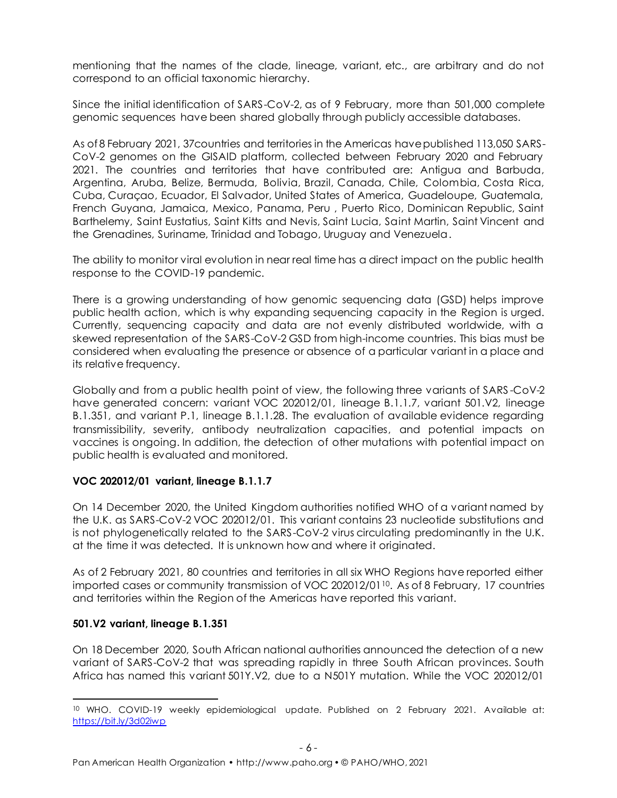mentioning that the names of the clade, lineage, variant, etc., are arbitrary and do not correspond to an official taxonomic hierarchy.

Since the initial identification of SARS-CoV-2, as of 9 February, more than 501,000 complete genomic sequences have been shared globally through publicly accessible databases.

As of 8 February 2021, 37countries and territories in the Americas have published 113,050 SARS-CoV-2 genomes on the GISAID platform, collected between February 2020 and February 2021. The countries and territories that have contributed are: Antigua and Barbuda, Argentina, Aruba, Belize, Bermuda, Bolivia, Brazil, Canada, Chile, Colombia, Costa Rica, Cuba, Curaçao, Ecuador, El Salvador, United States of America, Guadeloupe, Guatemala, French Guyana, Jamaica, Mexico, Panama, Peru , Puerto Rico, Dominican Republic, Saint Barthelemy, Saint Eustatius, Saint Kitts and Nevis, Saint Lucia, Saint Martin, Saint Vincent and the Grenadines, Suriname, Trinidad and Tobago, Uruguay and Venezuela.

The ability to monitor viral evolution in near real time has a direct impact on the public health response to the COVID-19 pandemic.

There is a growing understanding of how genomic sequencing data (GSD) helps improve public health action, which is why expanding sequencing capacity in the Region is urged. Currently, sequencing capacity and data are not evenly distributed worldwide, with a skewed representation of the SARS-CoV-2 GSD from high-income countries. This bias must be considered when evaluating the presence or absence of a particular variant in a place and its relative frequency.

Globally and from a public health point of view, the following three variants of SARS -CoV-2 have generated concern: variant VOC 202012/01, lineage B.1.1.7, variant 501.V2, lineage B.1.351, and variant P.1, lineage B.1.1.28. The evaluation of available evidence regarding transmissibility, severity, antibody neutralization capacities, and potential impacts on vaccines is ongoing. In addition, the detection of other mutations with potential impact on public health is evaluated and monitored.

#### **VOC 202012/01 variant, lineage B.1.1.7**

On 14 December 2020, the United Kingdom authorities notified WHO of a variant named by the U.K. as SARS-CoV-2 VOC 202012/01. This variant contains 23 nucleotide substitutions and is not phylogenetically related to the SARS-CoV-2 virus circulating predominantly in the U.K. at the time it was detected. It is unknown how and where it originated.

As of 2 February 2021, 80 countries and territories in all six WHO Regions have reported either imported cases or community transmission of VOC 202012/01<sup>10</sup>. As of 8 February, 17 countries and territories within the Region of the Americas have reported this variant.

#### **501.V2 variant, lineage B.1.351**

On 18 December 2020, South African national authorities announced the detection of a new variant of SARS-CoV-2 that was spreading rapidly in three South African provinces. South Africa has named this variant 501Y.V2, due to a N501Y mutation. While the VOC 202012/01

<sup>&</sup>lt;sup>10</sup> WHO. COVID-19 weekly epidemiological update. Published on 2 February 2021. Available at: <https://bit.ly/3d02iwp>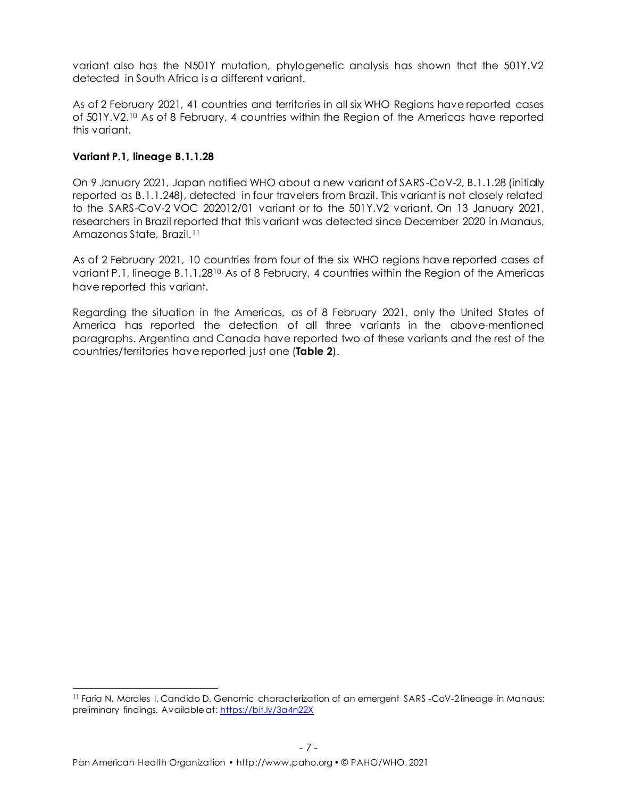variant also has the N501Y mutation, phylogenetic analysis has shown that the 501Y.V2 detected in South Africa is a different variant.

As of 2 February 2021, 41 countries and territories in all six WHO Regions have reported cases of 501Y.V2. <sup>10</sup> As of 8 February, 4 countries within the Region of the Americas have reported this variant.

#### **Variant P.1, lineage B.1.1.28**

On 9 January 2021, Japan notified WHO about a new variant of SARS -CoV-2, B.1.1.28 (initially reported as B.1.1.248), detected in four travelers from Brazil. This variant is not closely related to the SARS-CoV-2 VOC 202012/01 variant or to the 501Y.V2 variant. On 13 January 2021, researchers in Brazil reported that this variant was detected since December 2020 in Manaus, Amazonas State, Brazil.<sup>11</sup>

As of 2 February 2021, 10 countries from four of the six WHO regions have reported cases of variant P.1, lineage B.1.1.2810. As of 8 February, 4 countries within the Region of the Americas have reported this variant.

Regarding the situation in the Americas, as of 8 February 2021, only the United States of America has reported the detection of all three variants in the above-mentioned paragraphs. Argentina and Canada have reported two of these variants and the rest of the countries/territories have reported just one (**Table 2**).

<sup>&</sup>lt;sup>11</sup> Faria N, Morales I, Candido D. Genomic characterization of an emergent SARS -CoV-2 lineage in Manaus: preliminary findings. Available at[: https://bit.ly/3a4n22X](https://bit.ly/3a4n22X)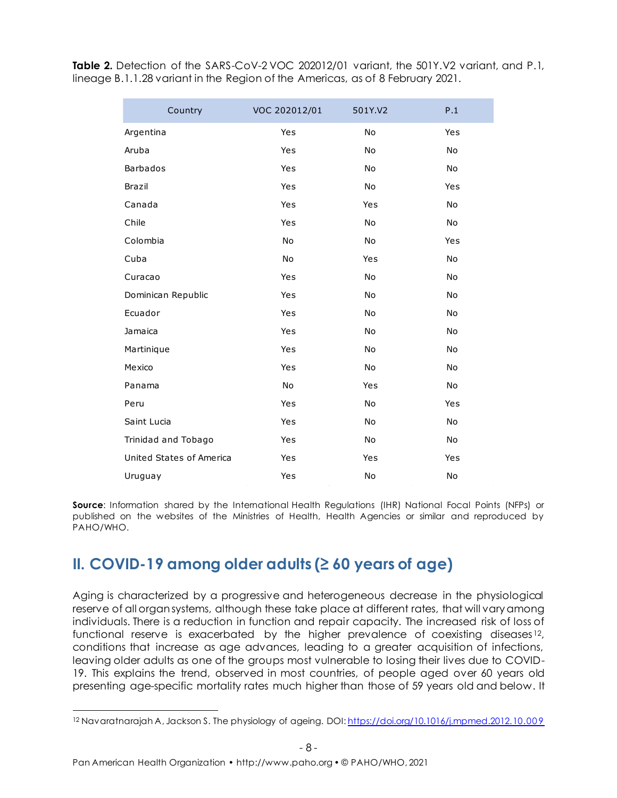**Table 2.** Detection of the SARS-CoV-2 VOC 202012/01 variant, the 501Y.V2 variant, and P.1, lineage B.1.1.28 variant in the Region of the Americas, as of 8 February 2021.

| Country                  | VOC 202012/01 | 501Y.V2   | P.1       |
|--------------------------|---------------|-----------|-----------|
| Argentina                | Yes           | <b>No</b> | Yes       |
| Aruba                    | Yes           | <b>No</b> | <b>No</b> |
| <b>Barbados</b>          | Yes           | <b>No</b> | No        |
| <b>Brazil</b>            | Yes           | No        | Yes       |
| Canada                   | Yes           | Yes       | <b>No</b> |
| Chile                    | Yes           | No        | No        |
| Colombia                 | No            | No        | Yes       |
| Cuba                     | No            | Yes       | No        |
| Curacao                  | Yes           | No        | <b>No</b> |
| Dominican Republic       | Yes           | No        | <b>No</b> |
| Ecuador                  | Yes           | No        | <b>No</b> |
| Jamaica                  | Yes           | No        | No        |
| Martinique               | Yes           | No        | <b>No</b> |
| Mexico                   | Yes           | No        | <b>No</b> |
| Panama                   | <b>No</b>     | Yes       | No        |
| Peru                     | Yes           | No        | Yes       |
| Saint Lucia              | Yes           | <b>No</b> | <b>No</b> |
| Trinidad and Tobago      | Yes           | No        | <b>No</b> |
| United States of America | Yes           | Yes       | Yes       |
| Uruguay                  | Yes           | No        | No        |

**Source**: Information shared by the International Health Regulations (IHR) National Focal Points (NFPs) or published on the websites of the Ministries of Health, Health Agencies or similar and reproduced by PAHO/WHO.

# **II. COVID-19 among older adults (≥ 60 years of age)**

Aging is characterized by a progressive and heterogeneous decrease in the physiological reserve of all organ systems, although these take place at different rates, that will vary among individuals. There is a reduction in function and repair capacity. The increased risk of loss of functional reserve is exacerbated by the higher prevalence of coexisting diseases <sup>12</sup>, conditions that increase as age advances, leading to a greater acquisition of infections, leaving older adults as one of the groups most vulnerable to losing their lives due to COVID-19. This explains the trend, observed in most countries, of people aged over 60 years old presenting age-specific mortality rates much higher than those of 59 years old and below. It

<sup>&</sup>lt;sup>12</sup> Navaratnarajah A, Jackson S. The physiology of ageing. DOI: https://doi.org/10.1016/j.mpmed.2012.10.009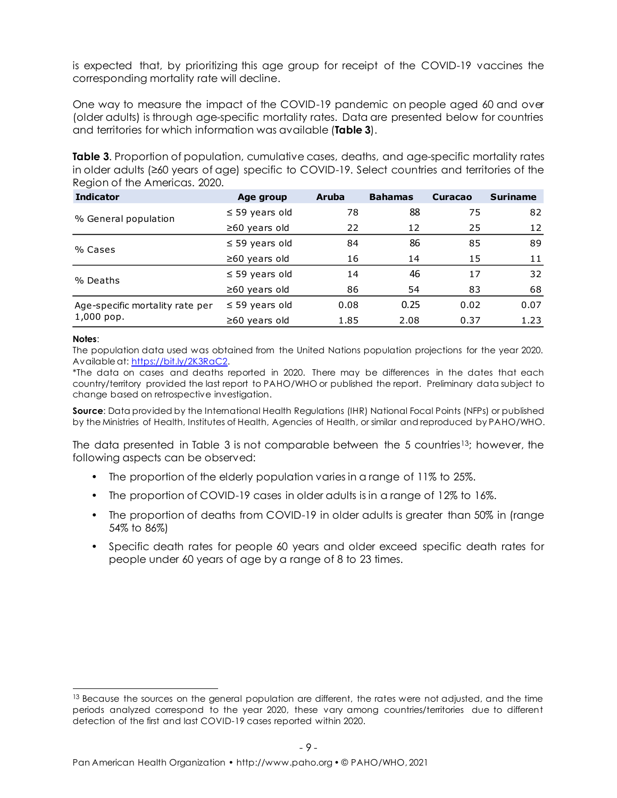is expected that, by prioritizing this age group for receipt of the COVID-19 vaccines the corresponding mortality rate will decline.

One way to measure the impact of the COVID-19 pandemic on people aged 60 and over (older adults) is through age-specific mortality rates. Data are presented below for countries and territories for which information was available (**Table 3**).

**Table 3.** Proportion of population, cumulative cases, deaths, and age-specific mortality rates Region of the Americas. 2020.

| in older adults ( $\geq 60$ years of age) specific to COVID-19. Select countries and territories of the<br>Region of the Americas. 2020. |                     |              |                |                |                 |
|------------------------------------------------------------------------------------------------------------------------------------------|---------------------|--------------|----------------|----------------|-----------------|
| <b>Indicator</b>                                                                                                                         |                     | <b>Aruba</b> | <b>Bahamas</b> | <b>Curacao</b> | <b>Suriname</b> |
|                                                                                                                                          | Age group           |              |                |                |                 |
| % General population                                                                                                                     | $\leq$ 59 years old | 78           | 88             | 75             | 82              |
|                                                                                                                                          | $\geq 60$ years old | 22           | 12             | 25             | 12              |
| % Cases                                                                                                                                  | $\leq$ 59 years old | 84           | 86             | 85             | 89              |
|                                                                                                                                          | $\geq 60$ years old | 16           | 14             | 15             | 11              |
| % Deaths                                                                                                                                 | $\leq$ 59 years old | 14           | 46             | 17             | 32              |
|                                                                                                                                          | $\geq 60$ years old | 86           | 54             | 83             | 68              |
| Age-specific mortality rate per                                                                                                          | $\leq$ 59 years old | 0.08         | 0.25           | 0.02           | 0.07            |
| 1,000 pop.                                                                                                                               | $\geq 60$ years old | 1.85         | 2.08           | 0.37           | 1.23            |

#### **Notes**:

The population data used was obtained from the United Nations population projections for the year 2020. Available at[: https://bit.ly/2K3RaC2.](https://bit.ly/2K3RaC2)

\*The data on cases and deaths reported in 2020. There may be differences in the dates that each country/territory provided the last report to PAHO/WHO or published the report. Preliminary data subject to change based on retrospective investigation.

**Source**: Data provided by the International Health Regulations (IHR) National Focal Points (NFPs) or published by the Ministries of Health, Institutes of Health, Agencies of Health, or similar and reproduced by PAHO/WHO.

The data presented in Table 3 is not comparable between the 5 countries13; however, the following aspects can be observed:

- The proportion of the elderly population varies in a range of 11% to 25%.
- The proportion of COVID-19 cases in older adults is in a range of 12% to 16%.
- The proportion of deaths from COVID-19 in older adults is greater than 50% in (range 54% to 86%)
- Specific death rates for people 60 years and older exceed specific death rates for people under 60 years of age by a range of 8 to 23 times.

<sup>&</sup>lt;sup>13</sup> Because the sources on the general population are different, the rates were not adjusted, and the time periods analyzed correspond to the year 2020, these vary among countries/territories due to different detection of the first and last COVID-19 cases reported within 2020.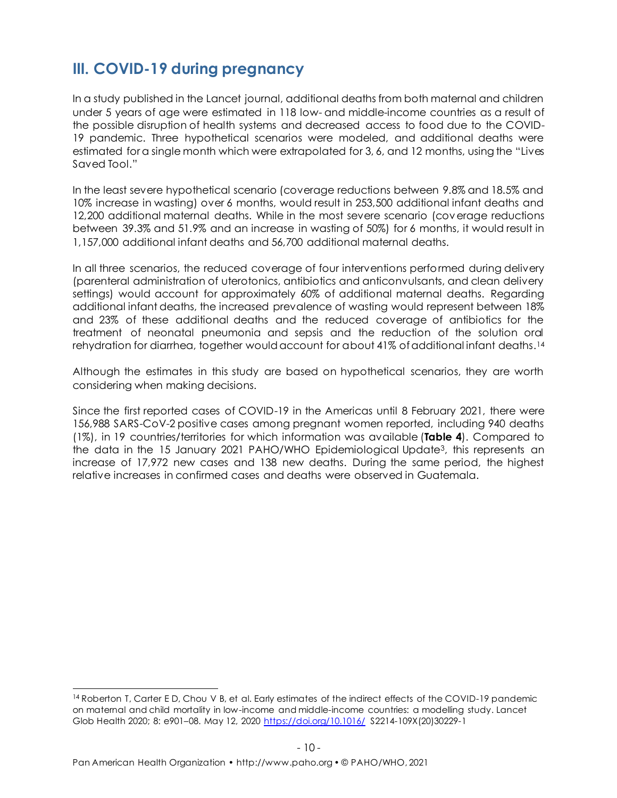### **III. COVID-19 during pregnancy**

In a study published in the Lancet journal, additional deaths from both maternal and children under 5 years of age were estimated in 118 low- and middle-income countries as a result of the possible disruption of health systems and decreased access to food due to the COVID-19 pandemic. Three hypothetical scenarios were modeled, and additional deaths were estimated for a single month which were extrapolated for 3, 6, and 12 months, using the "Lives Saved Tool."

In the least severe hypothetical scenario (coverage reductions between 9.8% and 18.5% and 10% increase in wasting) over 6 months, would result in 253,500 additional infant deaths and 12,200 additional maternal deaths. While in the most severe scenario (coverage reductions between 39.3% and 51.9% and an increase in wasting of 50%) for 6 months, it would result in 1,157,000 additional infant deaths and 56,700 additional maternal deaths.

In all three scenarios, the reduced coverage of four interventions performed during delivery (parenteral administration of uterotonics, antibiotics and anticonvulsants, and clean delivery settings) would account for approximately 60% of additional maternal deaths. Regarding additional infant deaths, the increased prevalence of wasting would represent between 18% and 23% of these additional deaths and the reduced coverage of antibiotics for the treatment of neonatal pneumonia and sepsis and the reduction of the solution oral rehydration for diarrhea, together would account for about 41% of additional infant deaths. 14

Although the estimates in this study are based on hypothetical scenarios, they are worth considering when making decisions.

Since the first reported cases of COVID-19 in the Americas until 8 February 2021, there were 156,988 SARS-CoV-2 positive cases among pregnant women reported, including 940 deaths (1%), in 19 countries/territories for which information was available (**Table 4**). Compared to the data in the 15 January 2021 PAHO/WHO Epidemiological Update3, this represents an increase of 17,972 new cases and 138 new deaths. During the same period, the highest relative increases in confirmed cases and deaths were observed in Guatemala.

<sup>14</sup> Roberton T, Carter E D, Chou V B, et al. Early estimates of the indirect effects of the COVID-19 pandemic on maternal and child mortality in low-income and middle-income countries: a modelling study. Lancet Glob Health 2020; 8: e901–08. May 12, 2020 <https://doi.org/10.1016/> S2214-109X(20)30229-1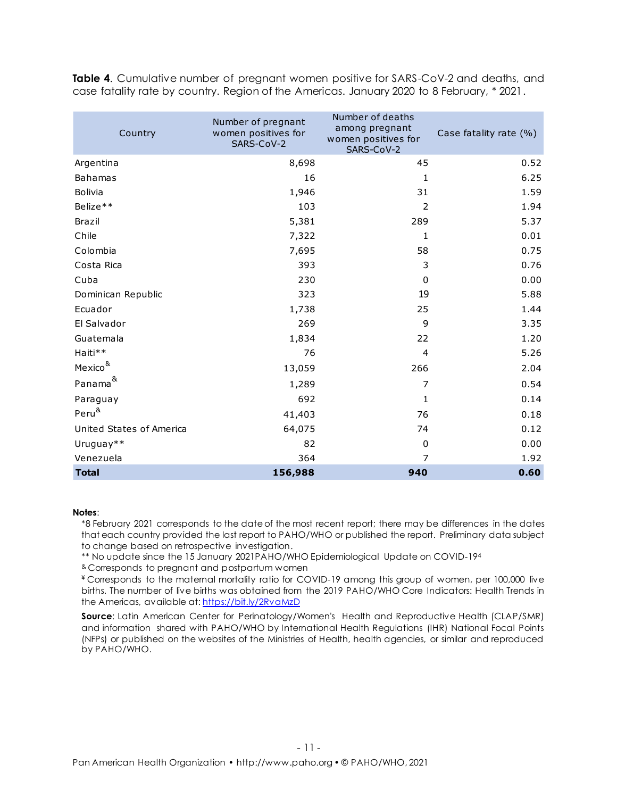**Table 4.** Cumulative number of pregnant women positive for SARS-CoV-2 and deaths, and case fatality rate by country. Region of the Americas. January 2020 to 8 February, \* 2021.

| Country                  | Number of pregnant<br>women positives for<br>SARS-CoV-2 | Number of deaths<br>among pregnant<br>women positives for<br>SARS-CoV-2 | Case fatality rate (%) |
|--------------------------|---------------------------------------------------------|-------------------------------------------------------------------------|------------------------|
| Argentina                | 8,698                                                   | 45                                                                      | 0.52                   |
| <b>Bahamas</b>           | 16                                                      | $\mathbf{1}$                                                            | 6.25                   |
| Bolivia                  | 1,946                                                   | 31                                                                      | 1.59                   |
| Belize**                 | 103                                                     | $\overline{2}$                                                          | 1.94                   |
| <b>Brazil</b>            | 5,381                                                   | 289                                                                     | 5.37                   |
| Chile                    | 7,322                                                   | 1                                                                       | 0.01                   |
| Colombia                 | 7,695                                                   | 58                                                                      | 0.75                   |
| Costa Rica               | 393                                                     | 3                                                                       | 0.76                   |
| Cuba                     | 230                                                     | 0                                                                       | 0.00                   |
| Dominican Republic       | 323                                                     | 19                                                                      | 5.88                   |
| Ecuador                  | 1,738                                                   | 25                                                                      | 1.44                   |
| El Salvador              | 269                                                     | 9                                                                       | 3.35                   |
| Guatemala                | 1,834                                                   | 22                                                                      | 1.20                   |
| Haiti**                  | 76                                                      | $\overline{4}$                                                          | 5.26                   |
| Mexico <sup>&amp;</sup>  | 13,059                                                  | 266                                                                     | 2.04                   |
| Panama <sup>&amp;</sup>  | 1,289                                                   | 7                                                                       | 0.54                   |
| Paraguay                 | 692                                                     | 1                                                                       | 0.14                   |
| Peru <sup>&amp;</sup>    | 41,403                                                  | 76                                                                      | 0.18                   |
| United States of America | 64,075                                                  | 74                                                                      | 0.12                   |
| Uruguay**                | 82                                                      | $\pmb{0}$                                                               | 0.00                   |
| Venezuela                | 364                                                     | 7                                                                       | 1.92                   |
| <b>Total</b>             | 156,988                                                 | 940                                                                     | 0.60                   |

#### **Notes**:

\*8 February 2021 corresponds to the date of the most recent report; there may be differences in the dates that each country provided the last report to PAHO/WHO or published the report. Preliminary data subject to change based on retrospective investigation.

\*\* No update since the 15 January 2021PAHO/WHO Epidemiological Update on COVID-19<sup>4</sup>

& Corresponds to pregnant and postpartum women

¥ Corresponds to the maternal mortality ratio for COVID-19 among this group of women, per 100,000 live births. The number of live births was obtained from the 2019 PAHO/WHO Core Indicators: Health Trends in the Americas, available at[: https://bit.ly/2RvaMzD](https://bit.ly/2RvaMzD)

**Source:** Latin American Center for Perinatology/Women's Health and Reproductive Health (CLAP/SMR) and information shared with PAHO/WHO by International Health Regulations (IHR) National Focal Points (NFPs) or published on the websites of the Ministries of Health, health agencies, or similar and reproduced by PAHO/WHO.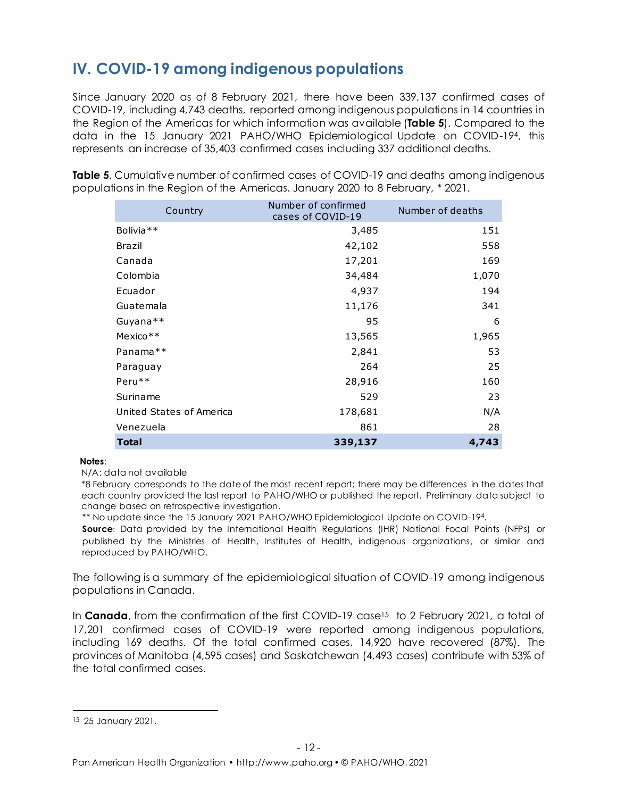# **IV. COVID-19 among indigenous populations**

Since January 2020 as of 8 February 2021, there have been 339,137 confirmed cases of COVID-19, including 4,743 deaths, reported among indigenous populations in 14 countries in the Region of the Americas for which information was available (**Table 5**). Compared to the data in the 15 January 2021 PAHO/WHO Epidemiological Update on COVID-194, this represents an increase of 35,403 confirmed cases including 337 additional deaths.

**Table 5**. Cumulative number of confirmed cases of COVID-19 and deaths among indigenous populations in the Region of the Americas. January 2020 to 8 February, \* 2021.

| Country                  | Number of confirmed<br>cases of COVID-19 | Number of deaths |
|--------------------------|------------------------------------------|------------------|
| Bolivia <sup>**</sup>    | 3,485                                    | 151              |
| Brazil                   | 42,102                                   | 558              |
| Canada                   | 17,201                                   | 169              |
| Colombia                 | 34,484                                   | 1,070            |
| Ecuador                  | 4,937                                    | 194              |
| Guatemala                | 11,176                                   | 341              |
| Guyana**                 | 95                                       | 6                |
| $Mexico**$               | 13,565                                   | 1,965            |
| Panama**                 | 2,841                                    | 53               |
| Paraguay                 | 264                                      | 25               |
| Peru**                   | 28,916                                   | 160              |
| Suriname                 | 529                                      | 23               |
| United States of America | 178,681                                  | N/A              |
| Venezuela                | 861                                      | 28               |
| <b>Total</b>             | 339,137                                  | 4,743            |

#### **Notes**:

N/A: data not available

\*8 February corresponds to the date of the most recent report; there may be differences in the dates that each country provided the last report to PAHO/WHO or published the report. Preliminary data subject to change based on retrospective investigation.

\*\* No update since the 15 January 2021 PAHO/WHO Epidemiological Update on COVID-194.

**Source:** Data provided by the International Health Regulations (IHR) National Focal Points (NFPs) or published by the Ministries of Health, Institutes of Health, indigenous organizations, or similar and reproduced by PAHO/WHO.

The following is a summary of the epidemiological situation of COVID-19 among indigenous populations in Canada.

In **Canada**, from the confirmation of the first COVID-19 case<sup>15</sup> to 2 February 2021, a total of 17,201 confirmed cases of COVID-19 were reported among indigenous populations, including 169 deaths. Of the total confirmed cases, 14,920 have recovered (87%). The provinces of Manitoba (4,595 cases) and Saskatchewan (4,493 cases) contribute with 53% of the total confirmed cases.

<sup>15</sup> 25 January 2021.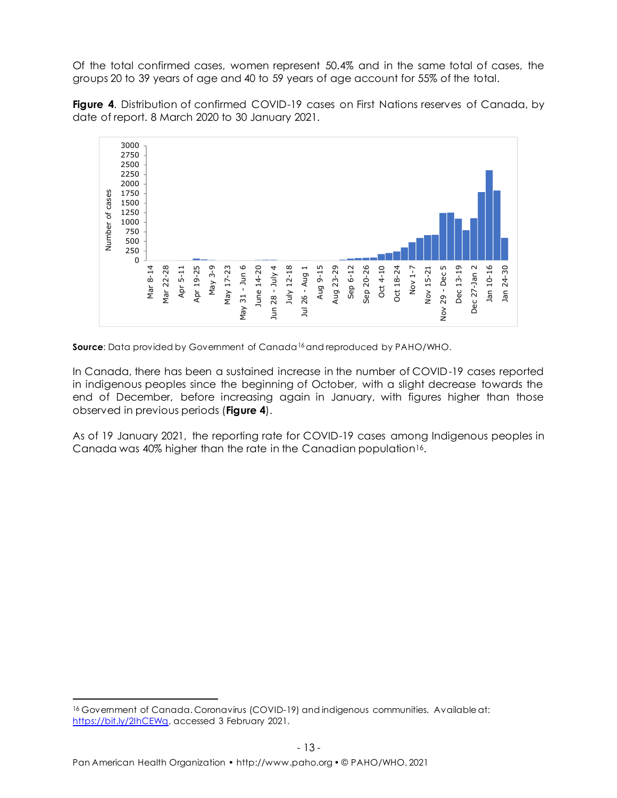Of the total confirmed cases, women represent 50.4% and in the same total of cases, the groups 20 to 39 years of age and 40 to 59 years of age account for 55% of the total.

**Figure 4**. Distribution of confirmed COVID-19 cases on First Nations reserves of Canada, by date of report. 8 March 2020 to 30 January 2021.



**Source:** Data provided by Government of Canada<sup>16</sup> and reproduced by PAHO/WHO.

In Canada, there has been a sustained increase in the number of COVID-19 cases reported in indigenous peoples since the beginning of October, with a slight decrease towards the end of December, before increasing again in January, with figures higher than those observed in previous periods (**Figure 4**).

As of 19 January 2021, the reporting rate for COVID-19 cases among Indigenous peoples in Canada was 40% higher than the rate in the Canadian population16.

<sup>&</sup>lt;sup>16</sup> Government of Canada. Coronavirus (COVID-19) and indigenous communities. Available at: [https://bit.ly/2IhCEWq,](https://bit.ly/2IhCEWq) accessed 3 February 2021.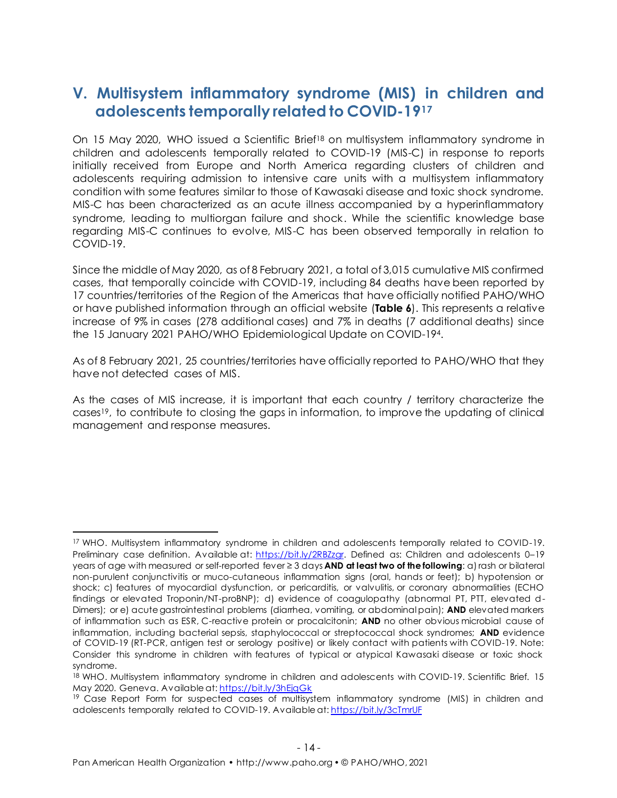### **V. Multisystem inflammatory syndrome (MIS) in children and adolescents temporally related to COVID-19<sup>17</sup>**

On 15 May 2020, WHO issued a Scientific Brief<sup>18</sup> on multisystem inflammatory syndrome in children and adolescents temporally related to COVID-19 (MIS-C) in response to reports initially received from Europe and North America regarding clusters of children and adolescents requiring admission to intensive care units with a multisystem inflammatory condition with some features similar to those of Kawasaki disease and toxic shock syndrome. MIS-C has been characterized as an acute illness accompanied by a hyperinflammatory syndrome, leading to multiorgan failure and shock. While the scientific knowledge base regarding MIS-C continues to evolve, MIS-C has been observed temporally in relation to COVID-19.

Since the middle of May 2020, as of 8 February 2021, a total of 3,015 cumulative MIS confirmed cases, that temporally coincide with COVID-19, including 84 deaths have been reported by 17 countries/territories of the Region of the Americas that have officially notified PAHO/WHO or have published information through an official website (**Table 6**). This represents a relative increase of 9% in cases (278 additional cases) and 7% in deaths (7 additional deaths) since the 15 January 2021 PAHO/WHO Epidemiological Update on COVID-194.

As of 8 February 2021, 25 countries/territories have officially reported to PAHO/WHO that they have not detected cases of MIS.

As the cases of MIS increase, it is important that each country / territory characterize the cases19, to contribute to closing the gaps in information, to improve the updating of clinical management and response measures.

<sup>17</sup> WHO. Multisystem inflammatory syndrome in children and adolescents temporally related to COVID-19. Preliminary case definition. Available at: [https://bit.ly/2RBZzgr.](https://bit.ly/2RBZzgr) Defined as: Children and adolescents 0-19 years of age with measured or self-reported fever ≥ 3 days **AND at least two of the following**: a) rash or bilateral non-purulent conjunctivitis or muco-cutaneous inflammation signs (oral, hands or feet); b) hypotension or shock; c) features of myocardial dysfunction, or pericarditis, or valvulitis, or coronary abnormalities (ECHO findings or elevated Troponin/NT-proBNP); d) evidence of coagulopathy (abnormal PT, PTT, elevated d-Dimers); or e) acute gastrointestinal problems (diarrhea, vomiting, or abdominal pain); **AND** elevated markers of inflammation such as ESR, C-reactive protein or procalcitonin; **AND** no other obvious microbial cause of inflammation, including bacterial sepsis, staphylococcal or streptococcal shock syndromes; **AND** evidence of COVID-19 (RT-PCR, antigen test or serology positive) or likely contact with patients with COVID-19. Note: Consider this syndrome in children with features of typical or atypical Kawasaki disease or toxic shock syndrome.

<sup>18</sup> WHO. Multisystem inflammatory syndrome in children and adolescents with COVID-19. Scientific Brief. 15 May 2020. Geneva. Available at:<https://bit.ly/3hEjqGk>

<sup>&</sup>lt;sup>19</sup> Case Report Form for suspected cases of multisystem inflammatory syndrome (MIS) in children and adolescents temporally related to COVID-19. Available at: <https://bit.ly/3cTmrUF>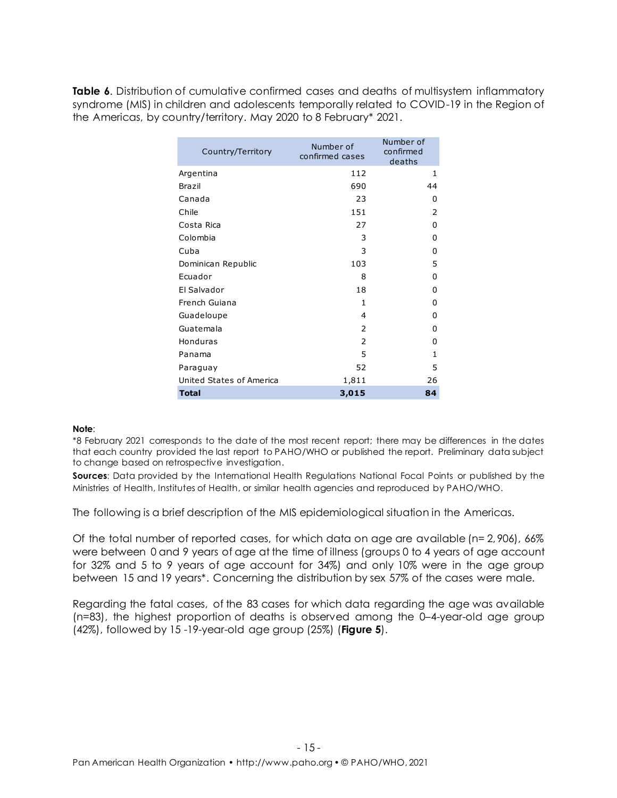**Table 6.** Distribution of cumulative confirmed cases and deaths of multisystem inflammatory syndrome (MIS) in children and adolescents temporally related to COVID-19 in the Region of the Americas, by country/territory. May 2020 to 8 February\* 2021.

| Country/Territory        | Number of<br>confirmed cases | Number of<br>confirmed<br>deaths |
|--------------------------|------------------------------|----------------------------------|
| Argentina                | 112                          | 1                                |
| Brazil                   | 690                          | 44                               |
| Canada                   | 23                           | 0                                |
| Chile                    | 151                          | 2                                |
| Costa Rica               | 27                           | $\Omega$                         |
| Colombia                 | 3                            | $\Omega$                         |
| Cuba                     | 3                            | 0                                |
| Dominican Republic       | 103                          | 5                                |
| Ecuador                  | 8                            | 0                                |
| El Salvador              | 18                           | 0                                |
| French Guiana            | $\mathbf{1}$                 | $\Omega$                         |
| Guadeloupe               | $\overline{4}$               | 0                                |
| Guatemala                | 2                            | $\Omega$                         |
| Honduras                 | $\overline{2}$               | $\Omega$                         |
| Panama                   | 5                            | $\mathbf{1}$                     |
| Paraguay                 | 52                           | 5                                |
| United States of America | 1,811                        | 26                               |
| <b>Total</b>             | 3,015                        | 84                               |

#### **Note**:

\*8 February 2021 corresponds to the date of the most recent report; there may be differences in the dates that each country provided the last report to PAHO/WHO or published the report. Preliminary data subject to change based on retrospective investigation.

**Sources:** Data provided by the International Health Regulations National Focal Points or published by the Ministries of Health, Institutes of Health, or similar health agencies and reproduced by PAHO/WHO.

The following is a brief description of the MIS epidemiological situation in the Americas.

Of the total number of reported cases, for which data on age are available (n= 2, 906), 66% were between 0 and 9 years of age at the time of illness (groups 0 to 4 years of age account for 32% and 5 to 9 years of age account for 34%) and only 10% were in the age group between 15 and 19 years\*. Concerning the distribution by sex 57% of the cases were male.

Regarding the fatal cases, of the 83 cases for which data regarding the age was available (n=83), the highest proportion of deaths is observed among the 0–4-year-old age group (42%), followed by 15 -19-year-old age group (25%) (**Figure 5**).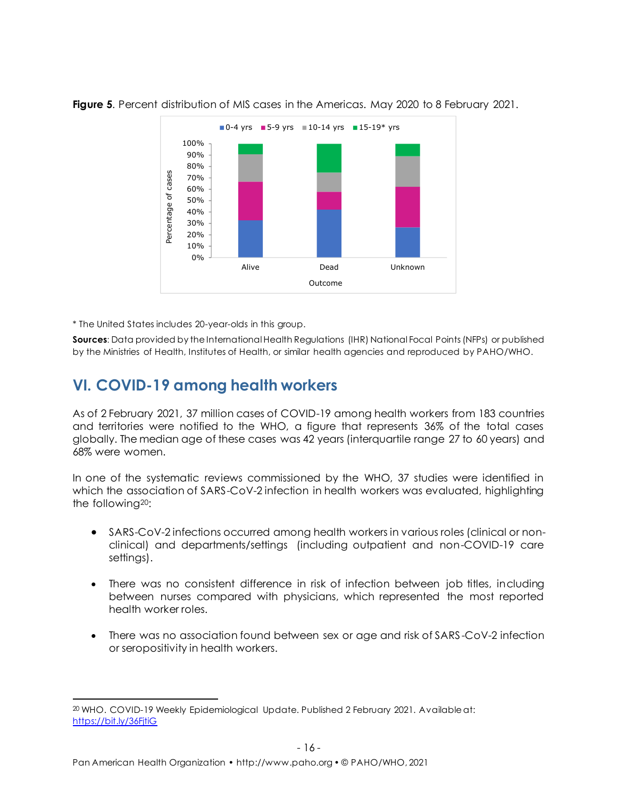

**Figure 5**. Percent distribution of MIS cases in the Americas. May 2020 to 8 February 2021.

\* The United States includes 20-year-olds in this group.

**Sources**: Data provided by the International Health Regulations (IHR) National Focal Points (NFPs) or published by the Ministries of Health, Institutes of Health, or similar health agencies and reproduced by PAHO/WHO.

#### **VI. COVID-19 among health workers**

As of 2 February 2021, 37 million cases of COVID-19 among health workers from 183 countries and territories were notified to the WHO, a figure that represents 36% of the total cases globally. The median age of these cases was 42 years (interquartile range 27 to 60 years) and 68% were women.

In one of the systematic reviews commissioned by the WHO, 37 studies were identified in which the association of SARS-CoV-2 infection in health workers was evaluated, highlighting the following20:

- SARS-CoV-2 infections occurred among health workers in various roles (clinical or nonclinical) and departments/settings (including outpatient and non-COVID-19 care settings).
- There was no consistent difference in risk of infection between job titles, including between nurses compared with physicians, which represented the most reported health worker roles.
- There was no association found between sex or age and risk of SARS -CoV-2 infection or seropositivity in health workers.

<sup>&</sup>lt;sup>20</sup> WHO. COVID-19 Weekly Epidemiological Update. Published 2 February 2021. Available at: <https://bit.ly/36FjtiG>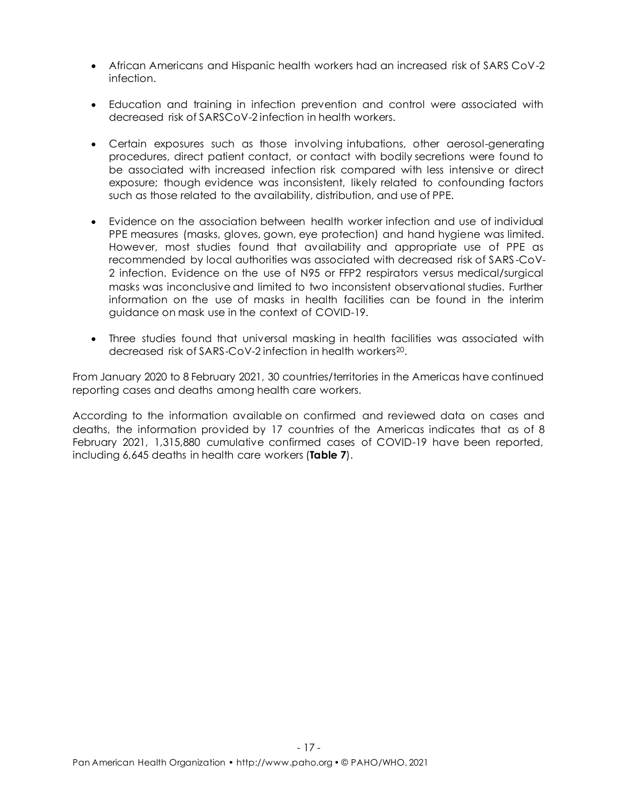- African Americans and Hispanic health workers had an increased risk of SARS CoV-2 infection.
- Education and training in infection prevention and control were associated with decreased risk of SARSCoV-2 infection in health workers.
- Certain exposures such as those involving intubations, other aerosol-generating procedures, direct patient contact, or contact with bodily secretions were found to be associated with increased infection risk compared with less intensive or direct exposure; though evidence was inconsistent, likely related to confounding factors such as those related to the availability, distribution, and use of PPE.
- Evidence on the association between health worker infection and use of individual PPE measures (masks, gloves, gown, eye protection) and hand hygiene was limited. However, most studies found that availability and appropriate use of PPE as recommended by local authorities was associated with decreased risk of SARS -CoV-2 infection. Evidence on the use of N95 or FFP2 respirators versus medical/surgical masks was inconclusive and limited to two inconsistent observational studies. Further information on the use of masks in health facilities can be found in the interim guidance on mask use in the context of COVID-19.
- Three studies found that universal masking in health facilities was associated with decreased risk of SARS-CoV-2 infection in health workers<sup>20</sup>.

From January 2020 to 8 February 2021, 30 countries/territories in the Americas have continued reporting cases and deaths among health care workers.

According to the information available on confirmed and reviewed data on cases and deaths, the information provided by 17 countries of the Americas indicates that as of 8 February 2021, 1,315,880 cumulative confirmed cases of COVID-19 have been reported, including 6,645 deaths in health care workers (**Table 7**).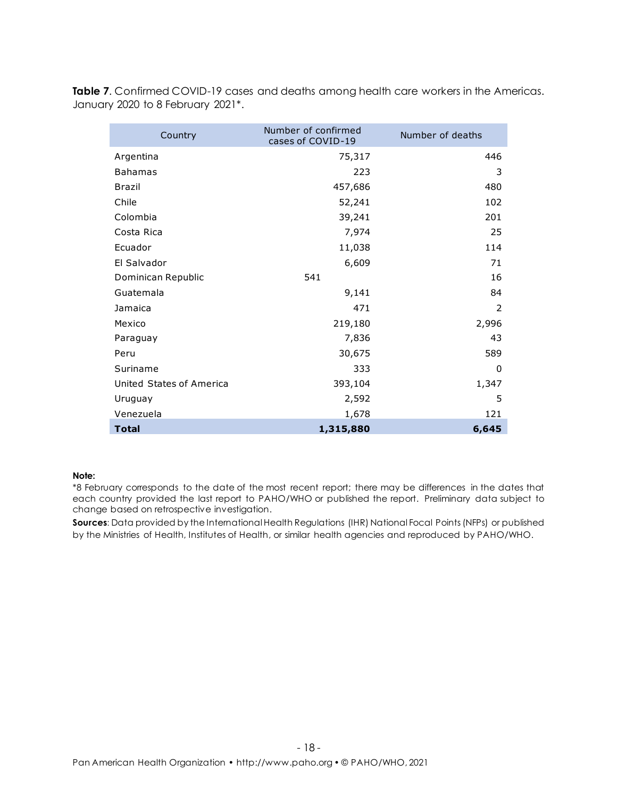**Table 7**. Confirmed COVID-19 cases and deaths among health care workers in the Americas. January 2020 to 8 February 2021\*.

| Country                  | Number of confirmed<br>cases of COVID-19 | Number of deaths |
|--------------------------|------------------------------------------|------------------|
| Argentina                | 75,317                                   | 446              |
| <b>Bahamas</b>           | 223                                      | 3                |
| <b>Brazil</b>            | 457,686                                  | 480              |
| Chile                    | 52,241                                   | 102              |
| Colombia                 | 39,241                                   | 201              |
| Costa Rica               | 7,974                                    | 25               |
| Ecuador                  | 11,038                                   | 114              |
| El Salvador              | 6,609                                    | 71               |
| Dominican Republic       | 541                                      | 16               |
| Guatemala                | 9,141                                    | 84               |
| Jamaica                  | 471                                      | 2                |
| Mexico                   | 219,180                                  | 2,996            |
| Paraguay                 | 7,836                                    | 43               |
| Peru                     | 30,675                                   | 589              |
| Suriname                 | 333                                      | 0                |
| United States of America | 393,104                                  | 1,347            |
| Uruguay                  | 2,592                                    | 5                |
| Venezuela                | 1,678                                    | 121              |
| <b>Total</b>             | 1,315,880                                | 6,645            |

#### **Note:**

\*8 February corresponds to the date of the most recent report; there may be differences in the dates that each country provided the last report to PAHO/WHO or published the report. Preliminary data subject to change based on retrospective investigation.

**Sources:** Data provided by the International Health Regulations (IHR) National Focal Points (NFPs) or published by the Ministries of Health, Institutes of Health, or similar health agencies and reproduced by PAHO/WHO.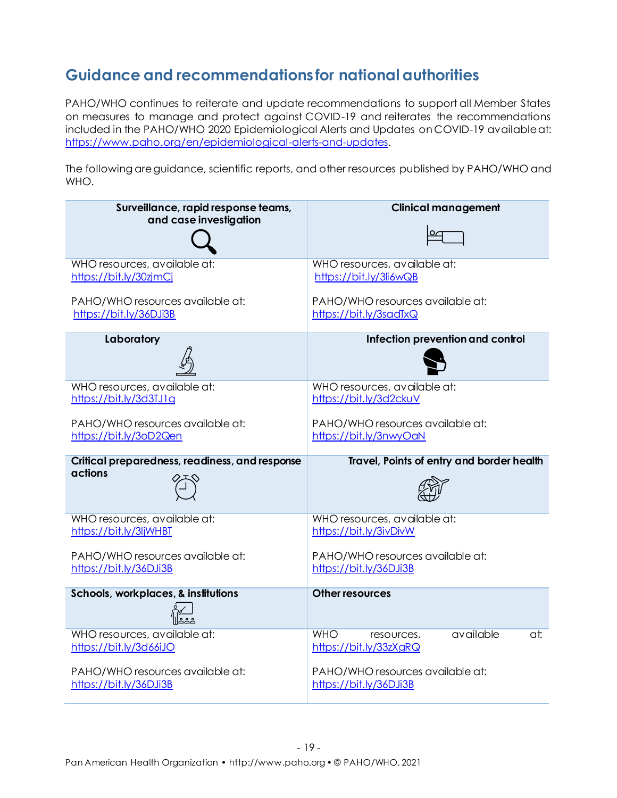# **Guidance and recommendations for national authorities**

PAHO/WHO continues to reiterate and update recommendations to support all Member States on measures to manage and protect against COVID-19 and reiterates the recommendations included in the PAHO/WHO 2020 Epidemiological Alerts and Updates on COVID-19 available at: [https://www.paho.org/en/epidemiological-alerts-and-updates.](https://www.paho.org/en/epidemiological-alerts-and-updates)

The following are guidance, scientific reports, and other resources published by PAHO/WHO and WHO.

| Surveillance, rapid response teams,<br>and case investigation | <b>Clinical management</b>                                             |
|---------------------------------------------------------------|------------------------------------------------------------------------|
| WHO resources, available at:<br>https://bit.ly/30zjmCj        | WHO resources, available at:<br>https://bit.ly/3li6wQB                 |
| PAHO/WHO resources available at:<br>https://bit.ly/36DJi3B    | PAHO/WHO resources available at:<br>https://bit.ly/3sadTxQ             |
| Laboratory                                                    | Infection prevention and control                                       |
| WHO resources, available at:<br>https://bit.ly/3d3TJ1q        | WHO resources, available at:<br>https://bit.ly/3d2ckuV                 |
| PAHO/WHO resources available at:<br>https://bit.ly/3oD2Qen    | PAHO/WHO resources available at:<br>https://bit.ly/3nwyOaN             |
|                                                               |                                                                        |
| Critical preparedness, readiness, and response                | Travel, Points of entry and border health                              |
| actions                                                       |                                                                        |
| WHO resources, available at:<br>https://bit.ly/3ljWHBT        | WHO resources, available at:<br>https://bit.ly/3ivDivW                 |
| PAHO/WHO resources available at:<br>https://bit.ly/36DJi3B    | PAHO/WHO resources available at:<br>https://bit.ly/36DJi3B             |
| Schools, workplaces, & institutions                           | <b>Other resources</b>                                                 |
| WHO resources, available at:<br>https://bit.ly/3d66iJO        | available<br><b>WHO</b><br>at:<br>resources,<br>https://bit.ly/33zXgRQ |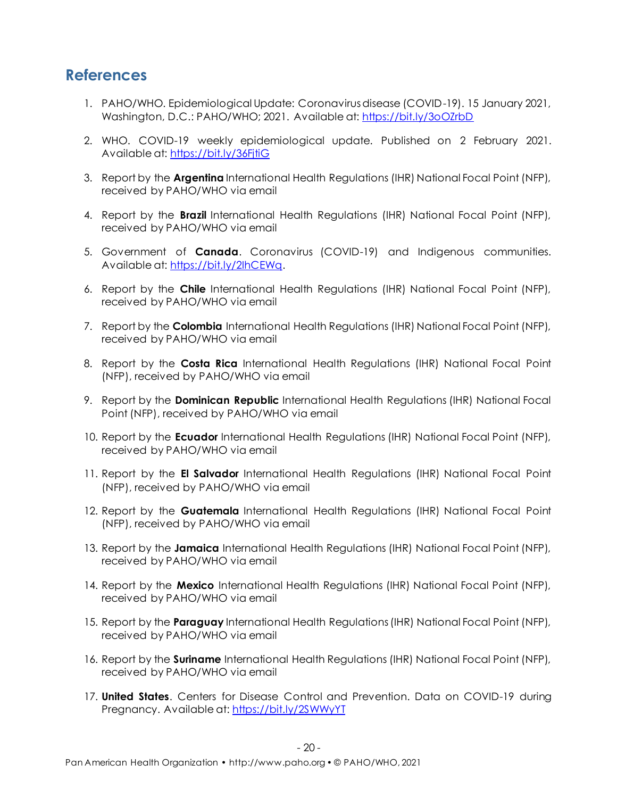#### **References**

- 1. PAHO/WHO. Epidemiological Update: Coronavirus disease (COVID-19). 15 January 2021, Washington, D.C.: PAHO/WHO; 2021. Available at[: https://bit.ly/3oOZrbD](https://bit.ly/3oOZrbD)
- 2. WHO. COVID-19 weekly epidemiological update. Published on 2 February 2021. Available at[: https://bit.ly/36FjtiG](https://bit.ly/36FjtiG)
- 3. Report by the **Argentina** International Health Regulations (IHR) National Focal Point (NFP), received by PAHO/WHO via email
- 4. Report by the **Brazil** International Health Regulations (IHR) National Focal Point (NFP), received by PAHO/WHO via email
- 5. Government of **Canada**. Coronavirus (COVID-19) and Indigenous communities. Available at: [https://bit.ly/2IhCEWq.](https://bit.ly/2IhCEWq)
- 6. Report by the **Chile** International Health Regulations (IHR) National Focal Point (NFP), received by PAHO/WHO via email
- 7. Report by the **Colombia** International Health Regulations (IHR) National Focal Point (NFP), received by PAHO/WHO via email
- 8. Report by the **Costa Rica** International Health Regulations (IHR) National Focal Point (NFP), received by PAHO/WHO via email
- 9. Report by the **Dominican Republic** International Health Regulations (IHR) National Focal Point (NFP), received by PAHO/WHO via email
- 10. Report by the **Ecuador** International Health Regulations (IHR) National Focal Point (NFP), received by PAHO/WHO via email
- 11. Report by the **El Salvador** International Health Regulations (IHR) National Focal Point (NFP), received by PAHO/WHO via email
- 12. Report by the **Guatemala** International Health Regulations (IHR) National Focal Point (NFP), received by PAHO/WHO via email
- 13. Report by the **Jamaica** International Health Regulations (IHR) National Focal Point (NFP), received by PAHO/WHO via email
- 14. Report by the **Mexico** International Health Regulations (IHR) National Focal Point (NFP), received by PAHO/WHO via email
- 15. Report by the **Paraguay** International Health Regulations (IHR) National Focal Point (NFP), received by PAHO/WHO via email
- 16. Report by the **Suriname** International Health Regulations (IHR) National Focal Point (NFP), received by PAHO/WHO via email
- 17. **United States**. Centers for Disease Control and Prevention. Data on COVID-19 during Pregnancy. Available at:<https://bit.ly/2SWWyYT>